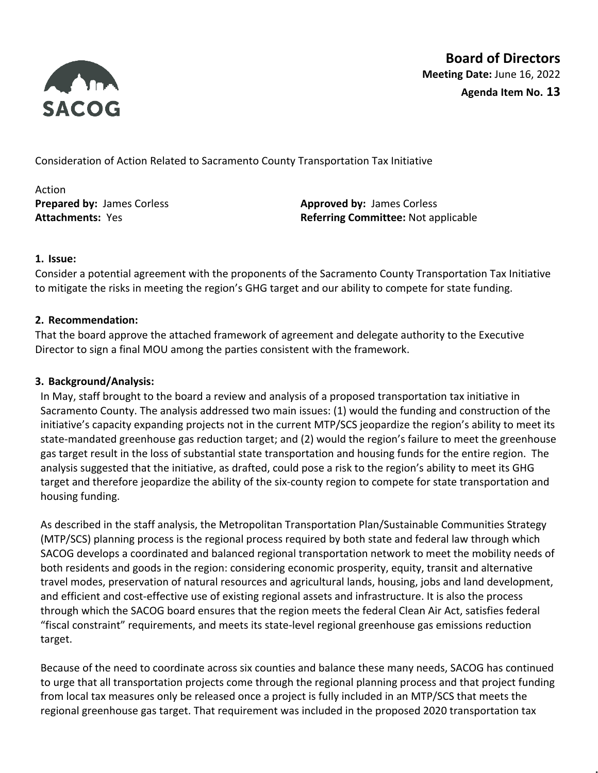

**Board of Directors Meeting Date:** June 16, 2022 **Agenda Item No. 13**

Consideration of Action Related to Sacramento County Transportation Tax Initiative

Action

**Prepared by:** James Corless **Approved by:** James Corless **Attachments:** Yes **Referring Committee:** Not applicable

# **1. Issue:**

Consider a potential agreement with the proponents of the Sacramento County Transportation Tax Initiative to mitigate the risks in meeting the region's GHG target and our ability to compete for state funding.

### **2. Recommendation:**

That the board approve the attached framework of agreement and delegate authority to the Executive Director to sign a final MOU among the parties consistent with the framework.

## **3. Background/Analysis:**

In May, staff brought to the board a review and analysis of a proposed transportation tax initiative in Sacramento County. The analysis addressed two main issues: (1) would the funding and construction of the initiative's capacity expanding projects not in the current MTP/SCS jeopardize the region's ability to meet its state-mandated greenhouse gas reduction target; and (2) would the region's failure to meet the greenhouse gas target result in the loss of substantial state transportation and housing funds for the entire region. The analysis suggested that the initiative, as drafted, could pose a risk to the region's ability to meet its GHG target and therefore jeopardize the ability of the six-county region to compete for state transportation and housing funding.

As described in the staff analysis, the Metropolitan Transportation Plan/Sustainable Communities Strategy (MTP/SCS) planning process is the regional process required by both state and federal law through which SACOG develops a coordinated and balanced regional transportation network to meet the mobility needs of both residents and goods in the region: considering economic prosperity, equity, transit and alternative travel modes, preservation of natural resources and agricultural lands, housing, jobs and land development, and efficient and cost-effective use of existing regional assets and infrastructure. It is also the process through which the SACOG board ensures that the region meets the federal Clean Air Act, satisfies federal "fiscal constraint" requirements, and meets its state-level regional greenhouse gas emissions reduction target.

Because of the need to coordinate across six counties and balance these many needs, SACOG has continued to urge that all transportation projects come through the regional planning process and that project funding from local tax measures only be released once a project is fully included in an MTP/SCS that meets the regional greenhouse gas target. That requirement was included in the proposed 2020 transportation tax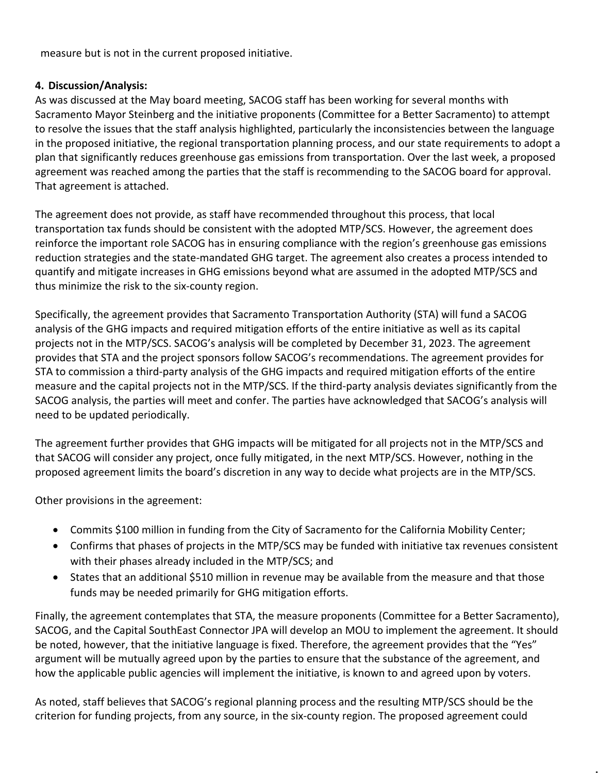measure but is not in the current proposed initiative.

## **4. Discussion/Analysis:**

As was discussed at the May board meeting, SACOG staff has been working for several months with Sacramento Mayor Steinberg and the initiative proponents (Committee for a Better Sacramento) to attempt to resolve the issues that the staff analysis highlighted, particularly the inconsistencies between the language in the proposed initiative, the regional transportation planning process, and our state requirements to adopt a plan that significantly reduces greenhouse gas emissions from transportation. Over the last week, a proposed agreement was reached among the parties that the staff is recommending to the SACOG board for approval. That agreement is attached.

The agreement does not provide, as staff have recommended throughout this process, that local transportation tax funds should be consistent with the adopted MTP/SCS. However, the agreement does reinforce the important role SACOG has in ensuring compliance with the region's greenhouse gas emissions reduction strategies and the state-mandated GHG target. The agreement also creates a process intended to quantify and mitigate increases in GHG emissions beyond what are assumed in the adopted MTP/SCS and thus minimize the risk to the six-county region.

Specifically, the agreement provides that Sacramento Transportation Authority (STA) will fund a SACOG analysis of the GHG impacts and required mitigation efforts of the entire initiative as well as its capital projects not in the MTP/SCS. SACOG's analysis will be completed by December 31, 2023. The agreement provides that STA and the project sponsors follow SACOG's recommendations. The agreement provides for STA to commission a third-party analysis of the GHG impacts and required mitigation efforts of the entire measure and the capital projects not in the MTP/SCS. If the third-party analysis deviates significantly from the SACOG analysis, the parties will meet and confer. The parties have acknowledged that SACOG's analysis will need to be updated periodically.

The agreement further provides that GHG impacts will be mitigated for all projects not in the MTP/SCS and that SACOG will consider any project, once fully mitigated, in the next MTP/SCS. However, nothing in the proposed agreement limits the board's discretion in any way to decide what projects are in the MTP/SCS.

Other provisions in the agreement:

- Commits \$100 million in funding from the City of Sacramento for the California Mobility Center;
- Confirms that phases of projects in the MTP/SCS may be funded with initiative tax revenues consistent with their phases already included in the MTP/SCS; and
- States that an additional \$510 million in revenue may be available from the measure and that those funds may be needed primarily for GHG mitigation efforts.

Finally, the agreement contemplates that STA, the measure proponents (Committee for a Better Sacramento), SACOG, and the Capital SouthEast Connector JPA will develop an MOU to implement the agreement. It should be noted, however, that the initiative language is fixed. Therefore, the agreement provides that the "Yes" argument will be mutually agreed upon by the parties to ensure that the substance of the agreement, and how the applicable public agencies will implement the initiative, is known to and agreed upon by voters.

As noted, staff believes that SACOG's regional planning process and the resulting MTP/SCS should be the criterion for funding projects, from any source, in the six-county region. The proposed agreement could